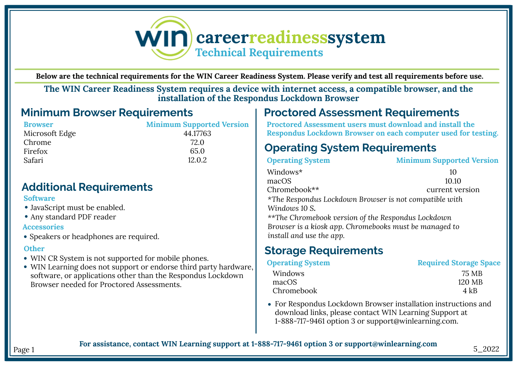

**Below are the technical requirements for the WIN Career Readiness System. Please verify and test all requirements before use.**

**The WIN Career Readiness System requires a device with internet access, a compatible browser, and the installation of the Respondus Lockdown Browser**

## **Minimum Browser Requirements**

**Minimum Supported Version** 44.17763 72.0 65.0 12.0.2

## **Additional Requirements**

### **Software**

- JavaScript must be enabled.
- Any standard PDF reader

### **Accessories**

• Speakers or headphones are required.

### **Other**

- WIN CR System is not supported for mobile phones.
- WIN Learning does not support or endorse third party hardware, software, or applications other than the Respondus Lockdown Browser needed for Proctored Assessments.

#### **Proctored Assessment Requirements** Below are the minimum technical requirements for the WIN Career Readiness System. Please verify and test all requirements before use

**Proctored Assessment users must download and install the Respondus Lockdown Browser on each computer used for testing.** 

# **Operating System Requirements**

| <b>Operating System</b>                                | <b>Minimum Supported Version</b> |
|--------------------------------------------------------|----------------------------------|
| Windows*                                               | 10                               |
| macOS                                                  | 10.10                            |
| Chromebook**                                           | current version                  |
| *The Respondus Lockdown Browser is not compatible with |                                  |
| Windows 10 S.                                          |                                  |
| **The Chromebook version of the Respondus Lockdown     |                                  |
| Browser is a kiosk app. Chromebooks must be managed to |                                  |
| install and use the app.                               |                                  |
|                                                        |                                  |

# **Storage Requirements**

| <b>Operating System</b> | <b>Required Storage Space</b> |
|-------------------------|-------------------------------|
| Windows                 | 75 MB                         |
| macOS                   | 120 MB                        |
| Chromebook              | 4 kB                          |

For Respondus Lockdown Browser installation instructions and download links, please contact WIN Learning Support at 1-888-717-9461 option 3 or support@winlearning.com.